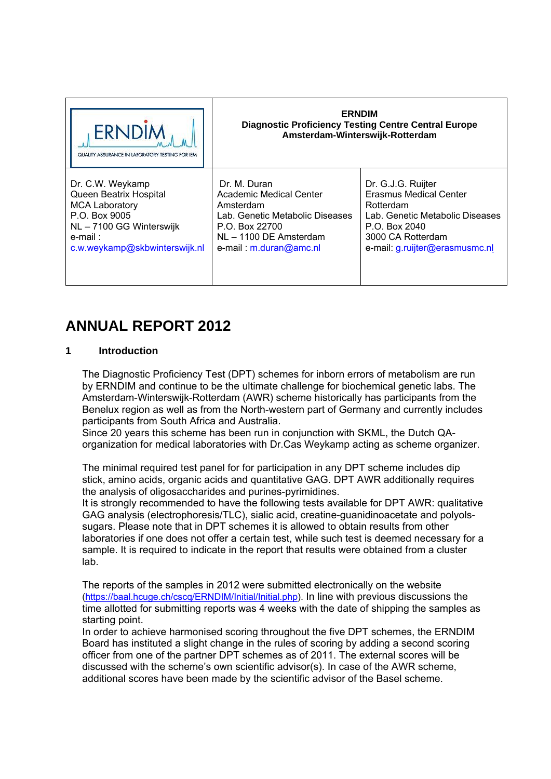| <b>ERNDIN</b><br>QUALITY ASSURANCE IN LABORATORY TESTING FOR IEM | <b>ERNDIM</b><br><b>Diagnostic Proficiency Testing Centre Central Europe</b><br>Amsterdam-Winterswijk-Rotterdam |                                 |  |
|------------------------------------------------------------------|-----------------------------------------------------------------------------------------------------------------|---------------------------------|--|
| Dr. C.W. Weykamp                                                 | Dr. M. Duran                                                                                                    | Dr. G.J.G. Ruijter              |  |
| Queen Beatrix Hospital                                           | Academic Medical Center                                                                                         | Erasmus Medical Center          |  |
| <b>MCA Laboratory</b>                                            | Amsterdam                                                                                                       | Rotterdam                       |  |
| P.O. Box 9005                                                    | Lab. Genetic Metabolic Diseases                                                                                 | Lab. Genetic Metabolic Diseases |  |
| NL - 7100 GG Winterswijk                                         | P.O. Box 22700                                                                                                  | P.O. Box 2040                   |  |
| e-mail :                                                         | NL - 1100 DE Amsterdam                                                                                          | 3000 CA Rotterdam               |  |
| c.w.weykamp@skbwinterswijk.nl                                    | e-mail: m.duran@amc.nl                                                                                          | e-mail: g.ruijter@erasmusmc.nl  |  |

# **ANNUAL REPORT 2012**

### **1 Introduction**

The Diagnostic Proficiency Test (DPT) schemes for inborn errors of metabolism are run by ERNDIM and continue to be the ultimate challenge for biochemical genetic labs. The Amsterdam-Winterswijk-Rotterdam (AWR) scheme historically has participants from the Benelux region as well as from the North-western part of Germany and currently includes participants from South Africa and Australia.

Since 20 years this scheme has been run in conjunction with SKML, the Dutch QAorganization for medical laboratories with Dr.Cas Weykamp acting as scheme organizer.

The minimal required test panel for for participation in any DPT scheme includes dip stick, amino acids, organic acids and quantitative GAG. DPT AWR additionally requires the analysis of oligosaccharides and purines-pyrimidines.

It is strongly recommended to have the following tests available for DPT AWR: qualitative GAG analysis (electrophoresis/TLC), sialic acid, creatine-guanidinoacetate and polyolssugars. Please note that in DPT schemes it is allowed to obtain results from other laboratories if one does not offer a certain test, while such test is deemed necessary for a sample. It is required to indicate in the report that results were obtained from a cluster lab.

The reports of the samples in 2012 were submitted electronically on the website (https://baal.hcuge.ch/cscq/ERNDIM/Initial/Initial.php). In line with previous discussions the time allotted for submitting reports was 4 weeks with the date of shipping the samples as starting point.

In order to achieve harmonised scoring throughout the five DPT schemes, the ERNDIM Board has instituted a slight change in the rules of scoring by adding a second scoring officer from one of the partner DPT schemes as of 2011. The external scores will be discussed with the scheme's own scientific advisor(s). In case of the AWR scheme, additional scores have been made by the scientific advisor of the Basel scheme.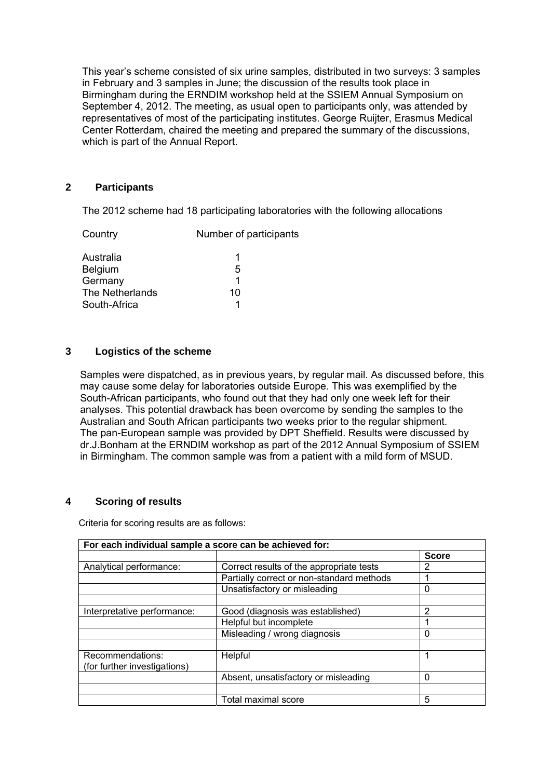This year's scheme consisted of six urine samples, distributed in two surveys: 3 samples in February and 3 samples in June; the discussion of the results took place in Birmingham during the ERNDIM workshop held at the SSIEM Annual Symposium on September 4, 2012. The meeting, as usual open to participants only, was attended by representatives of most of the participating institutes. George Ruijter, Erasmus Medical Center Rotterdam, chaired the meeting and prepared the summary of the discussions, which is part of the Annual Report.

## **2 Participants**

The 2012 scheme had 18 participating laboratories with the following allocations

| Country         | Number of participants |  |  |
|-----------------|------------------------|--|--|
| Australia       |                        |  |  |
| <b>Belgium</b>  | 5                      |  |  |
| Germany         |                        |  |  |
| The Netherlands | 10                     |  |  |
| South-Africa    |                        |  |  |

### **3 Logistics of the scheme**

Samples were dispatched, as in previous years, by regular mail. As discussed before, this may cause some delay for laboratories outside Europe. This was exemplified by the South-African participants, who found out that they had only one week left for their analyses. This potential drawback has been overcome by sending the samples to the Australian and South African participants two weeks prior to the regular shipment. The pan-European sample was provided by DPT Sheffield. Results were discussed by dr.J.Bonham at the ERNDIM workshop as part of the 2012 Annual Symposium of SSIEM in Birmingham. The common sample was from a patient with a mild form of MSUD.

### **4 Scoring of results**

Criteria for scoring results are as follows:

| For each individual sample a score can be achieved for: |                                           |              |  |  |
|---------------------------------------------------------|-------------------------------------------|--------------|--|--|
|                                                         |                                           | <b>Score</b> |  |  |
| Analytical performance:                                 | Correct results of the appropriate tests  | 2            |  |  |
|                                                         | Partially correct or non-standard methods |              |  |  |
|                                                         | Unsatisfactory or misleading              | 0            |  |  |
|                                                         |                                           |              |  |  |
| Interpretative performance:                             | Good (diagnosis was established)          | 2            |  |  |
|                                                         | Helpful but incomplete                    |              |  |  |
|                                                         | Misleading / wrong diagnosis              | 0            |  |  |
|                                                         |                                           |              |  |  |
| Recommendations:                                        | Helpful                                   | 1            |  |  |
| (for further investigations)                            |                                           |              |  |  |
|                                                         | Absent, unsatisfactory or misleading      | 0            |  |  |
|                                                         |                                           |              |  |  |
|                                                         | Total maximal score                       | 5            |  |  |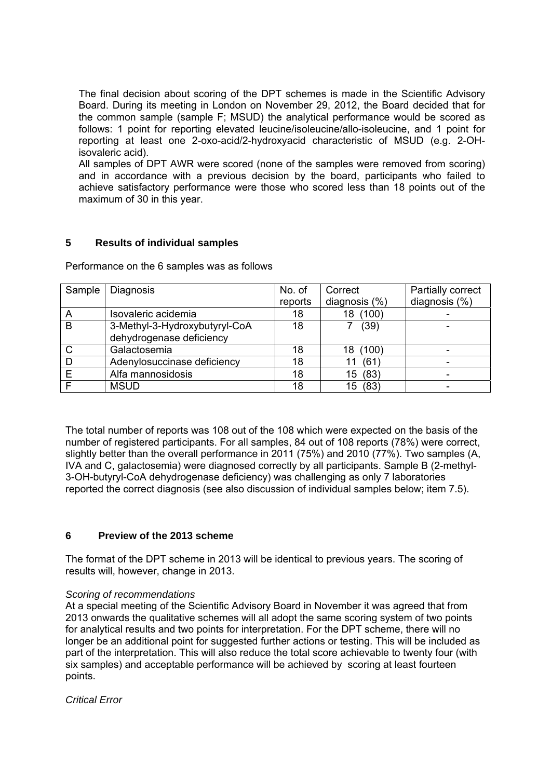The final decision about scoring of the DPT schemes is made in the Scientific Advisory Board. During its meeting in London on November 29, 2012, the Board decided that for the common sample (sample F; MSUD) the analytical performance would be scored as follows: 1 point for reporting elevated leucine/isoleucine/allo-isoleucine, and 1 point for reporting at least one 2-oxo-acid/2-hydroxyacid characteristic of MSUD (e.g. 2-OHisovaleric acid).

All samples of DPT AWR were scored (none of the samples were removed from scoring) and in accordance with a previous decision by the board, participants who failed to achieve satisfactory performance were those who scored less than 18 points out of the maximum of 30 in this year.

# **5 Results of individual samples**

Performance on the 6 samples was as follows

| Sample | Diagnosis                     | No. of  | Correct          | Partially correct |
|--------|-------------------------------|---------|------------------|-------------------|
|        |                               | reports | diagnosis $(\%)$ | diagnosis (%)     |
| A      | Isovaleric acidemia           | 18      | (100)<br>18      |                   |
| B      | 3-Methyl-3-Hydroxybutyryl-CoA | 18      | (39)             |                   |
|        | dehydrogenase deficiency      |         |                  |                   |
| C      | Galactosemia                  | 18      | (100)<br>18      |                   |
| D      | Adenylosuccinase deficiency   | 18      | (61<br>11        |                   |
| E      | Alfa mannosidosis             | 18      | (83)<br>15       |                   |
|        | <b>MSUD</b>                   | 18      | (83)<br>15       |                   |

The total number of reports was 108 out of the 108 which were expected on the basis of the number of registered participants. For all samples, 84 out of 108 reports (78%) were correct, slightly better than the overall performance in 2011 (75%) and 2010 (77%). Two samples (A, IVA and C, galactosemia) were diagnosed correctly by all participants. Sample B (2-methyl-3-OH-butyryl-CoA dehydrogenase deficiency) was challenging as only 7 laboratories reported the correct diagnosis (see also discussion of individual samples below; item 7.5).

### **6 Preview of the 2013 scheme**

The format of the DPT scheme in 2013 will be identical to previous years. The scoring of results will, however, change in 2013.

#### *Scoring of recommendations*

At a special meeting of the Scientific Advisory Board in November it was agreed that from 2013 onwards the qualitative schemes will all adopt the same scoring system of two points for analytical results and two points for interpretation. For the DPT scheme, there will no longer be an additional point for suggested further actions or testing. This will be included as part of the interpretation. This will also reduce the total score achievable to twenty four (with six samples) and acceptable performance will be achieved by scoring at least fourteen points.

### *Critical Error*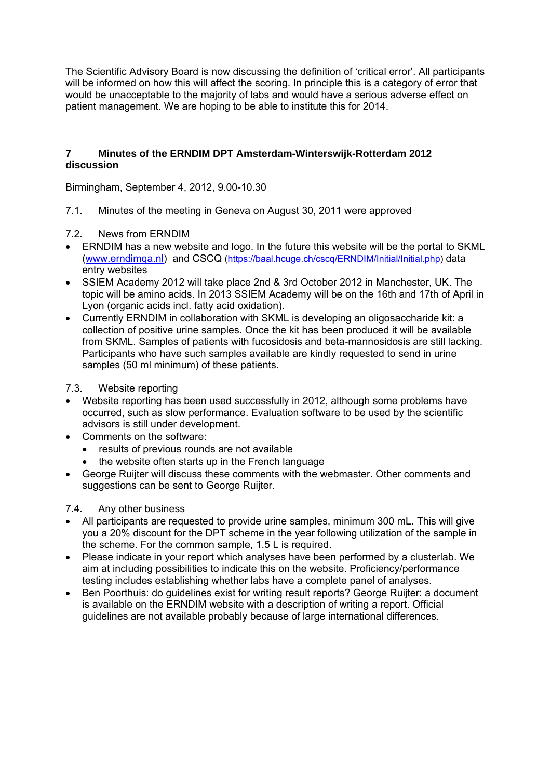The Scientific Advisory Board is now discussing the definition of 'critical error'. All participants will be informed on how this will affect the scoring. In principle this is a category of error that would be unacceptable to the majority of labs and would have a serious adverse effect on patient management. We are hoping to be able to institute this for 2014.

## **7 Minutes of the ERNDIM DPT Amsterdam-Winterswijk-Rotterdam 2012 discussion**

Birmingham, September 4, 2012, 9.00-10.30

- 7.1. Minutes of the meeting in Geneva on August 30, 2011 were approved
- 7.2. News from ERNDIM
- ERNDIM has a new website and logo. In the future this website will be the portal to SKML (www.erndimqa.nl) and CSCQ (https://baal.hcuge.ch/cscq/ERNDIM/Initial/Initial.php) data entry websites
- SSIEM Academy 2012 will take place 2nd & 3rd October 2012 in Manchester, UK. The topic will be amino acids. In 2013 SSIEM Academy will be on the 16th and 17th of April in Lyon (organic acids incl. fatty acid oxidation).
- Currently ERNDIM in collaboration with SKML is developing an oligosaccharide kit: a collection of positive urine samples. Once the kit has been produced it will be available from SKML. Samples of patients with fucosidosis and beta-mannosidosis are still lacking. Participants who have such samples available are kindly requested to send in urine samples (50 ml minimum) of these patients.
- 7.3. Website reporting
- Website reporting has been used successfully in 2012, although some problems have occurred, such as slow performance. Evaluation software to be used by the scientific advisors is still under development.
- Comments on the software:
	- results of previous rounds are not available
	- the website often starts up in the French language
- George Ruijter will discuss these comments with the webmaster. Other comments and suggestions can be sent to George Ruijter.

### 7.4. Any other business

- All participants are requested to provide urine samples, minimum 300 mL. This will give you a 20% discount for the DPT scheme in the year following utilization of the sample in the scheme. For the common sample, 1.5 L is required.
- Please indicate in your report which analyses have been performed by a clusterlab. We aim at including possibilities to indicate this on the website. Proficiency/performance testing includes establishing whether labs have a complete panel of analyses.
- Ben Poorthuis: do guidelines exist for writing result reports? George Ruijter: a document is available on the ERNDIM website with a description of writing a report. Official guidelines are not available probably because of large international differences.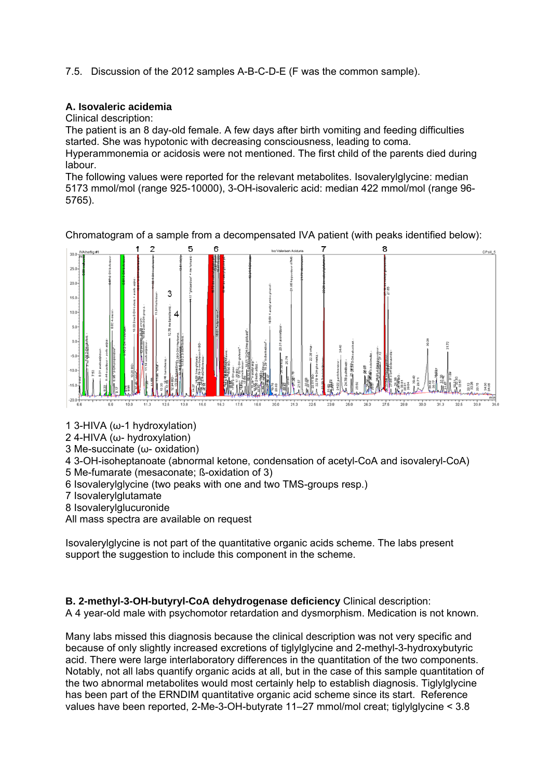7.5. Discussion of the 2012 samples A-B-C-D-E (F was the common sample).

## **A. Isovaleric acidemia**

Clinical description:

The patient is an 8 day-old female. A few days after birth vomiting and feeding difficulties started. She was hypotonic with decreasing consciousness, leading to coma. Hyperammonemia or acidosis were not mentioned. The first child of the parents died during labour.

The following values were reported for the relevant metabolites. Isovalerylglycine: median 5173 mmol/mol (range 925-10000), 3-OH-isovaleric acid: median 422 mmol/mol (range 96- 5765).

5  $250$  $20.0$ 3  $150$ 10.0  $5.0$  $0.0$  $-5.0$  $-10.0$  $-15$  $\frac{1}{162}$  $\frac{1}{21.3}$  $\frac{1}{225}$  $\frac{1}{250}$  $\frac{1}{275}$  $\frac{1}{288}$  $175$  $20.0$  $228$ 

Chromatogram of a sample from a decompensated IVA patient (with peaks identified below):

1 3-HIVA (ω-1 hydroxylation)

2 4-HIVA (ω- hydroxylation)

3 Me-succinate (ω- oxidation)

4 3-OH-isoheptanoate (abnormal ketone, condensation of acetyl-CoA and isovaleryl-CoA) 5 Me-fumarate (mesaconate; ß-oxidation of 3)

- 6 Isovalerylglycine (two peaks with one and two TMS-groups resp.)
- 7 Isovalerylglutamate
- 8 Isovalerylglucuronide

All mass spectra are available on request

Isovalerylglycine is not part of the quantitative organic acids scheme. The labs present support the suggestion to include this component in the scheme.

**B. 2-methyl-3-OH-butyryl-CoA dehydrogenase deficiency** Clinical description: A 4 year-old male with psychomotor retardation and dysmorphism. Medication is not known.

Many labs missed this diagnosis because the clinical description was not very specific and because of only slightly increased excretions of tiglylglycine and 2-methyl-3-hydroxybutyric acid. There were large interlaboratory differences in the quantitation of the two components. Notably, not all labs quantify organic acids at all, but in the case of this sample quantitation of the two abnormal metabolites would most certainly help to establish diagnosis. Tiglylglycine has been part of the ERNDIM quantitative organic acid scheme since its start. Reference values have been reported, 2-Me-3-OH-butyrate 11–27 mmol/mol creat; tiglylglycine < 3.8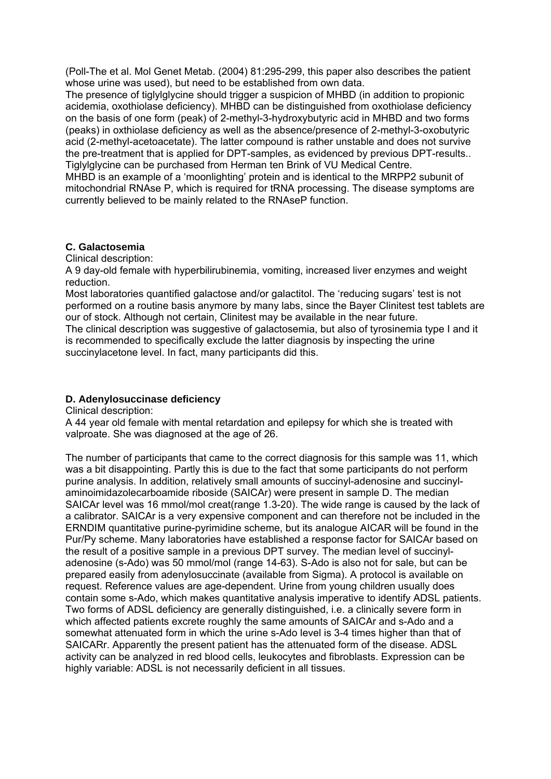(Poll-The et al. Mol Genet Metab. (2004) 81:295-299, this paper also describes the patient whose urine was used), but need to be established from own data.

The presence of tiglylglycine should trigger a suspicion of MHBD (in addition to propionic acidemia, oxothiolase deficiency). MHBD can be distinguished from oxothiolase deficiency on the basis of one form (peak) of 2-methyl-3-hydroxybutyric acid in MHBD and two forms (peaks) in oxthiolase deficiency as well as the absence/presence of 2-methyl-3-oxobutyric acid (2-methyl-acetoacetate). The latter compound is rather unstable and does not survive the pre-treatment that is applied for DPT-samples, as evidenced by previous DPT-results.. Tiglylglycine can be purchased from Herman ten Brink of VU Medical Centre.

MHBD is an example of a 'moonlighting' protein and is identical to the MRPP2 subunit of mitochondrial RNAse P, which is required for tRNA processing. The disease symptoms are currently believed to be mainly related to the RNAseP function.

#### **C. Galactosemia**

Clinical description:

A 9 day-old female with hyperbilirubinemia, vomiting, increased liver enzymes and weight reduction.

Most laboratories quantified galactose and/or galactitol. The 'reducing sugars' test is not performed on a routine basis anymore by many labs, since the Bayer Clinitest test tablets are our of stock. Although not certain, Clinitest may be available in the near future.

The clinical description was suggestive of galactosemia, but also of tyrosinemia type I and it is recommended to specifically exclude the latter diagnosis by inspecting the urine succinylacetone level. In fact, many participants did this.

## **D. Adenylosuccinase deficiency**

Clinical description:

A 44 year old female with mental retardation and epilepsy for which she is treated with valproate. She was diagnosed at the age of 26.

The number of participants that came to the correct diagnosis for this sample was 11, which was a bit disappointing. Partly this is due to the fact that some participants do not perform purine analysis. In addition, relatively small amounts of succinyl-adenosine and succinylaminoimidazolecarboamide riboside (SAICAr) were present in sample D. The median SAICAr level was 16 mmol/mol creat(range 1.3-20). The wide range is caused by the lack of a calibrator. SAICAr is a very expensive component and can therefore not be included in the ERNDIM quantitative purine-pyrimidine scheme, but its analogue AICAR will be found in the Pur/Py scheme. Many laboratories have established a response factor for SAICAr based on the result of a positive sample in a previous DPT survey. The median level of succinyladenosine (s-Ado) was 50 mmol/mol (range 14-63). S-Ado is also not for sale, but can be prepared easily from adenylosuccinate (available from Sigma). A protocol is available on request. Reference values are age-dependent. Urine from young children usually does contain some s-Ado, which makes quantitative analysis imperative to identify ADSL patients. Two forms of ADSL deficiency are generally distinguished, i.e. a clinically severe form in which affected patients excrete roughly the same amounts of SAICAr and s-Ado and a somewhat attenuated form in which the urine s-Ado level is 3-4 times higher than that of SAICARr. Apparently the present patient has the attenuated form of the disease. ADSL activity can be analyzed in red blood cells, leukocytes and fibroblasts. Expression can be highly variable: ADSL is not necessarily deficient in all tissues.